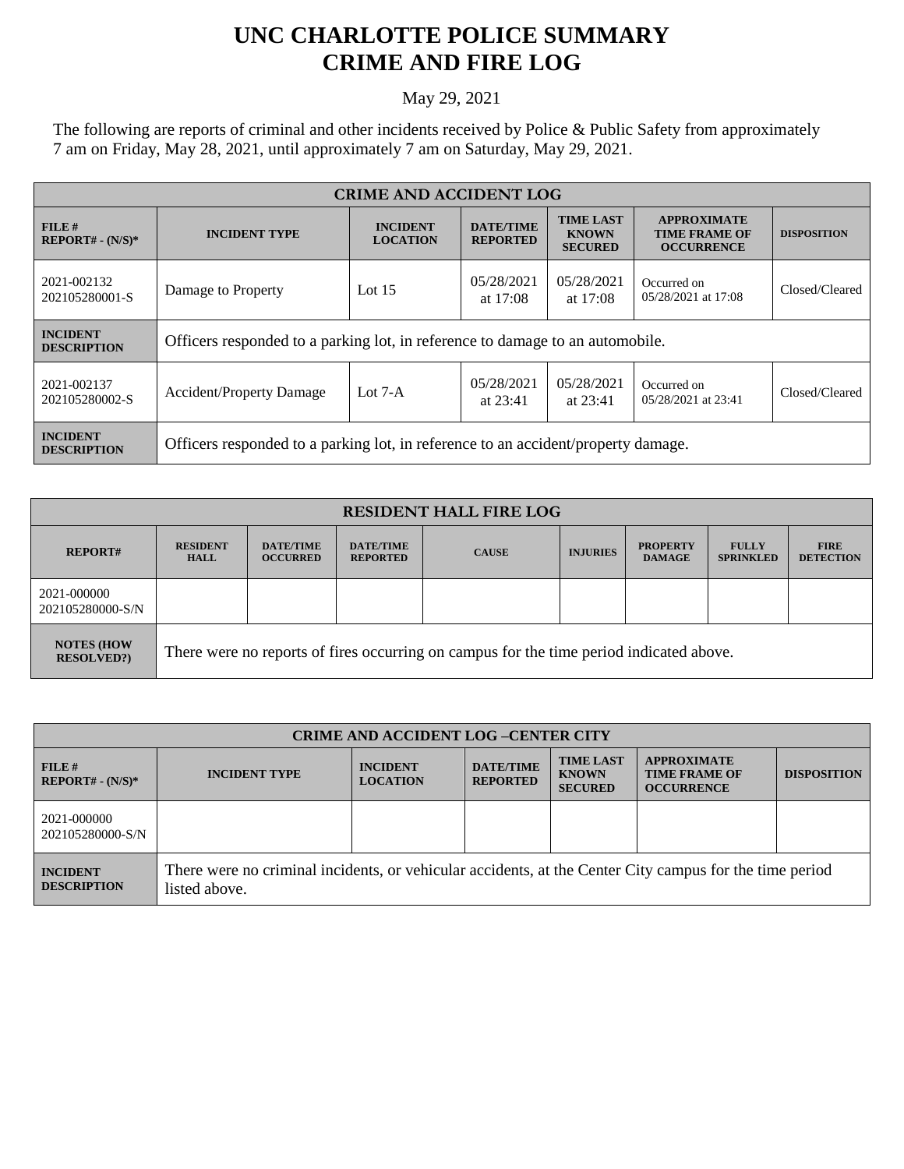## **UNC CHARLOTTE POLICE SUMMARY CRIME AND FIRE LOG**

May 29, 2021

The following are reports of criminal and other incidents received by Police & Public Safety from approximately 7 am on Friday, May 28, 2021, until approximately 7 am on Saturday, May 29, 2021.

| <b>CRIME AND ACCIDENT LOG</b>         |                                                                                   |                                    |                                     |                                                    |                                                                 |                    |  |
|---------------------------------------|-----------------------------------------------------------------------------------|------------------------------------|-------------------------------------|----------------------------------------------------|-----------------------------------------------------------------|--------------------|--|
| FILE#<br>$REPORT# - (N/S)*$           | <b>INCIDENT TYPE</b>                                                              | <b>INCIDENT</b><br><b>LOCATION</b> | <b>DATE/TIME</b><br><b>REPORTED</b> | <b>TIME LAST</b><br><b>KNOWN</b><br><b>SECURED</b> | <b>APPROXIMATE</b><br><b>TIME FRAME OF</b><br><b>OCCURRENCE</b> | <b>DISPOSITION</b> |  |
| 2021-002132<br>202105280001-S         | Damage to Property                                                                | Lot $15$                           | 05/28/2021<br>at $17:08$            | 05/28/2021<br>at $17:08$                           | Occurred on<br>05/28/2021 at 17:08                              | Closed/Cleared     |  |
| <b>INCIDENT</b><br><b>DESCRIPTION</b> | Officers responded to a parking lot, in reference to damage to an automobile.     |                                    |                                     |                                                    |                                                                 |                    |  |
| 2021-002137<br>202105280002-S         | <b>Accident/Property Damage</b>                                                   | Lot $7-A$                          | 05/28/2021<br>at $23:41$            | 05/28/2021<br>at $23:41$                           | Occurred on<br>05/28/2021 at 23:41                              | Closed/Cleared     |  |
| <b>INCIDENT</b><br><b>DESCRIPTION</b> | Officers responded to a parking lot, in reference to an accident/property damage. |                                    |                                     |                                                    |                                                                 |                    |  |

| <b>RESIDENT HALL FIRE LOG</b>         |                                                                                         |                                     |                                     |              |                 |                                  |                                  |                                 |
|---------------------------------------|-----------------------------------------------------------------------------------------|-------------------------------------|-------------------------------------|--------------|-----------------|----------------------------------|----------------------------------|---------------------------------|
| <b>REPORT#</b>                        | <b>RESIDENT</b><br><b>HALL</b>                                                          | <b>DATE/TIME</b><br><b>OCCURRED</b> | <b>DATE/TIME</b><br><b>REPORTED</b> | <b>CAUSE</b> | <b>INJURIES</b> | <b>PROPERTY</b><br><b>DAMAGE</b> | <b>FULLY</b><br><b>SPRINKLED</b> | <b>FIRE</b><br><b>DETECTION</b> |
| 2021-000000<br>202105280000-S/N       |                                                                                         |                                     |                                     |              |                 |                                  |                                  |                                 |
| <b>NOTES (HOW</b><br><b>RESOLVED?</b> | There were no reports of fires occurring on campus for the time period indicated above. |                                     |                                     |              |                 |                                  |                                  |                                 |

| <b>CRIME AND ACCIDENT LOG-CENTER CITY</b> |                                                                                                                          |                                    |                                     |                                                    |                                                                 |                    |
|-------------------------------------------|--------------------------------------------------------------------------------------------------------------------------|------------------------------------|-------------------------------------|----------------------------------------------------|-----------------------------------------------------------------|--------------------|
| FILE#<br><b>REPORT#</b> - $(N/S)*$        | <b>INCIDENT TYPE</b>                                                                                                     | <b>INCIDENT</b><br><b>LOCATION</b> | <b>DATE/TIME</b><br><b>REPORTED</b> | <b>TIME LAST</b><br><b>KNOWN</b><br><b>SECURED</b> | <b>APPROXIMATE</b><br><b>TIME FRAME OF</b><br><b>OCCURRENCE</b> | <b>DISPOSITION</b> |
| 2021-000000<br>202105280000-S/N           |                                                                                                                          |                                    |                                     |                                                    |                                                                 |                    |
| <b>INCIDENT</b><br><b>DESCRIPTION</b>     | There were no criminal incidents, or vehicular accidents, at the Center City campus for the time period<br>listed above. |                                    |                                     |                                                    |                                                                 |                    |